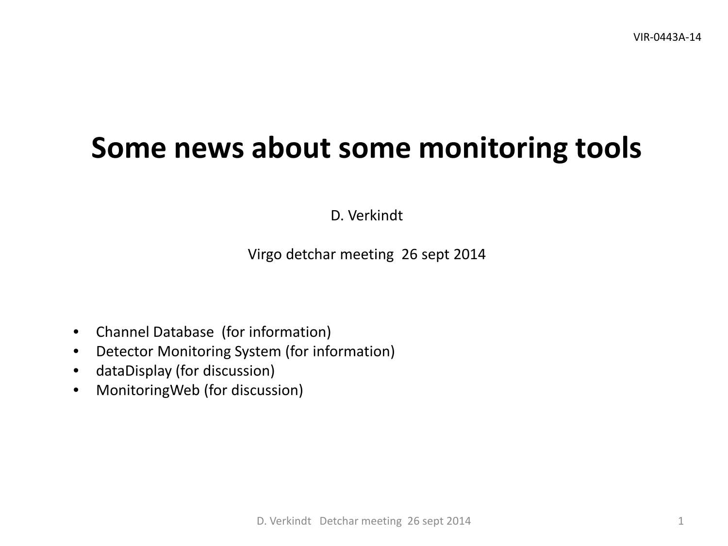# **Some news about some monitoring tools**

D. Verkindt

Virgo detchar meeting 26 sept 2014

- Channel Database (for information)
- Detector Monitoring System (for information)
- dataDisplay (for discussion)
- MonitoringWeb (for discussion)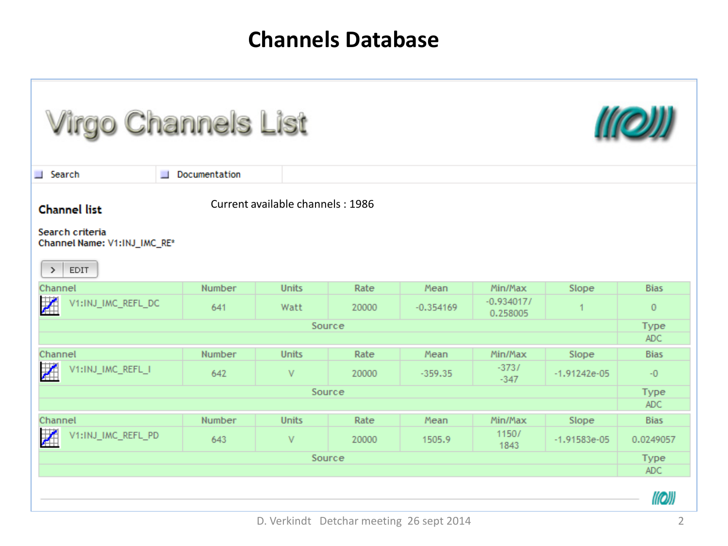### **Channels Database**

| <b>Virgo Channels List</b>                                                      |                                  |              |       |             |                          |                |              |  |  |  |  |
|---------------------------------------------------------------------------------|----------------------------------|--------------|-------|-------------|--------------------------|----------------|--------------|--|--|--|--|
| Documentation<br>Search                                                         |                                  |              |       |             |                          |                |              |  |  |  |  |
| <b>Channel list</b>                                                             | Current available channels: 1986 |              |       |             |                          |                |              |  |  |  |  |
| Search criteria<br>Channel Name: V1:INJ_IMC_RE*<br><b>EDIT</b><br>$\rightarrow$ |                                  |              |       |             |                          |                |              |  |  |  |  |
| Channel                                                                         | Number                           | <b>Units</b> | Rate  | Mean        | Min/Max                  | Slope          | <b>Bias</b>  |  |  |  |  |
| Z<br>V1:INJ_IMC_REFL_DC                                                         | 641                              | Watt         | 20000 | $-0.354169$ | $-0.934017/$<br>0.258005 | 1              | $\mathbf{0}$ |  |  |  |  |
| Source                                                                          |                                  |              |       |             |                          |                |              |  |  |  |  |
|                                                                                 |                                  |              |       |             |                          |                |              |  |  |  |  |
| Channel                                                                         | Number                           | <b>Units</b> | Rate  | Mean        | Min/Max                  | Slope          | <b>Bias</b>  |  |  |  |  |
| 团<br>V1:INJ_IMC_REFL_I                                                          | 642                              | V            | 20000 | $-359.35$   | $-373/$<br>$-347$        | $-1.91242e-05$ | $-0$         |  |  |  |  |
| Source                                                                          |                                  |              |       |             |                          |                |              |  |  |  |  |
|                                                                                 |                                  |              |       |             |                          |                | ADC.         |  |  |  |  |
| Channel                                                                         | Number                           | <b>Units</b> | Rate  | Mean        | Min/Max                  | Slope          | <b>Bias</b>  |  |  |  |  |
| 团<br>V1:INJ_IMC_REFL_PD                                                         | 643                              | V            | 20000 | 1505.9      | 1150/<br>1843            | $-1.91583e-05$ | 0.0249057    |  |  |  |  |
| Source                                                                          |                                  |              |       |             |                          |                |              |  |  |  |  |
|                                                                                 |                                  |              |       |             |                          |                |              |  |  |  |  |
|                                                                                 |                                  |              |       |             |                          |                | ((Q)         |  |  |  |  |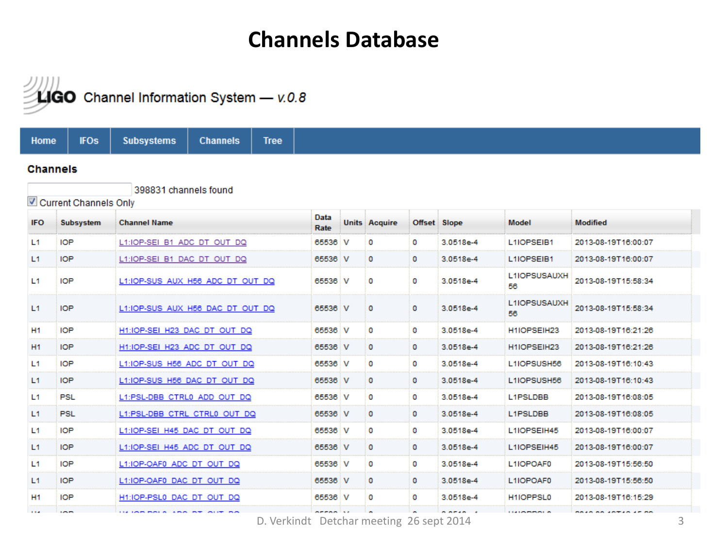#### **Channels Database**



H1:IOP-PSL0 DAC DT OUT DQ

**IN IMPORTANT ARM** 

H<sub>1</sub>

1,894

**IOP** 

**COLOR** 

**Subsystems Tree Home IFOs Channels Channels** 398831 channels found Current Channels Only Data **IFO** Subsystem **Channel Name Units Acquire** Offset Slope Model **Modified** Rate 2013-08-19T16:00:07 L1 **IOP** L1:IOP-SEI B1 ADC DT OUT DQ 3.0518e-4 65536 v 0 0 L1IOPSEIB1  $L1$ **IOP** 3.0518e-4 L1IOPSEIB1 L1:IOP-SEI B1 DAC DT OUT DQ 65536 V 0 0 2013-08-19T16:00:07 L1IOPSUSAUXH L1 **IOP** L1:IOP-SUS AUX H56 ADC DT OUT DQ 65536 V 0 3.0518e-4 2013-08-19T15:58:34 0 56 L1IOPSUSAUXH  $L1$ **IOP** L1:IOP-SUS AUX H56 DAC DT OUT DQ 3.0518e-4 2013-08-19T15:58:34 65536 V 0 0 56 **H1 IOP** H1:IOP-SEI H23 DAC DT OUT DQ 65536 V 3.0518e-4 H1IOPSEIH23 2013-08-19T16:21:26 0 0 H<sub>1</sub> **IOP** H1:IOP-SEI H23 ADC DT OUT DQ 65536 V 0 0 3.0518e-4 H1IOPSEIH23 2013-08-19T16:21:26  $L1$ **IOP** 3.0518e-4 2013-08-19T16:10:43 L1:IOP-SUS H56 ADC DT OUT DQ 65536 V 0 0 L1IOPSUSH56  $L1$ **IOP** L1:IOP-SUS H56 DAC DT OUT DQ 65536 V 0 0 3.0518e-4 L1IOPSUSH56 2013-08-19T16:10:43 **PSL** L1 L1:PSL-DBB CTRL0 ADD OUT DQ 65536 V 0 0 3.0518e-4 L1PSLDBB 2013-08-19T16:08:05  $L1$ **PSL** 3.0518e-4 L1PSLDBB L1:PSL-DBB CTRL CTRL0 OUT DQ 65536 V 0 0 2013-08-19T16:08:05 L1 **IOP** L1:IOP-SEI H45 DAC DT OUT DQ 65536 V 0 0 3.0518e-4 L1IOPSEIH45 2013-08-19T16:00:07 L1 **IOP** L1:IOP-SEI H45 ADC DT OUT DQ 65536 V 0 0 3.0518e-4 L1IOPSEIH45 2013-08-19T16:00:07 L1 **IOP** L1:IOP-OAF0 ADC DT OUT DQ 65536 V 0 0 3.0518e-4 L1IOPOAF0 2013-08-19T15:56:50 L1 **IOP** L1:IOP-OAF0 DAC DT OUT DQ 65536 V 0 0 3.0518e-4 L1IOPOAF0 2013-08-19T15:56:50

D. Verkindt Detchar meeting 26 sept 2014 3

o

0

3.0518e-4

H1IOPPSL0

*LEADERBOAT* 

65536 V

2013-08-19T16:15:29 **DAIR AN IRTIR IF AR**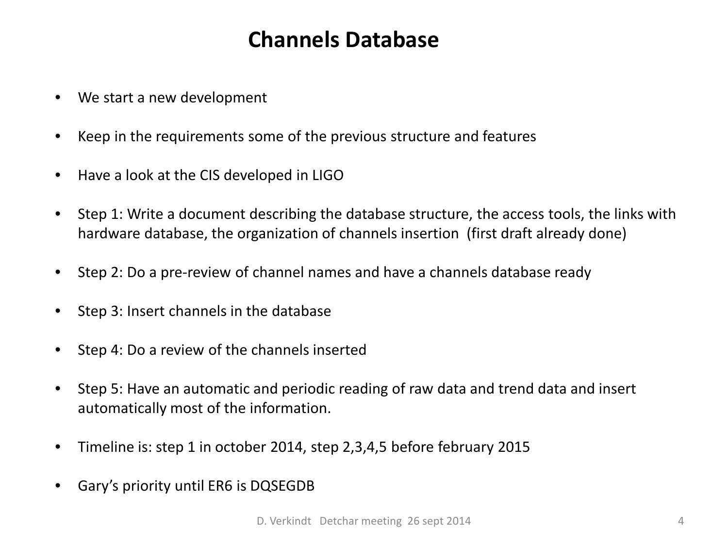#### **Channels Database**

- We start a new development
- Keep in the requirements some of the previous structure and features
- Have a look at the CIS developed in LIGO
- Step 1: Write a document describing the database structure, the access tools, the links with hardware database, the organization of channels insertion (first draft already done)
- Step 2: Do a pre-review of channel names and have a channels database ready
- Step 3: Insert channels in the database
- Step 4: Do a review of the channels inserted
- Step 5: Have an automatic and periodic reading of raw data and trend data and insert automatically most of the information.
- Timeline is: step 1 in october 2014, step 2,3,4,5 before february 2015
- Gary's priority until ER6 is DQSEGDB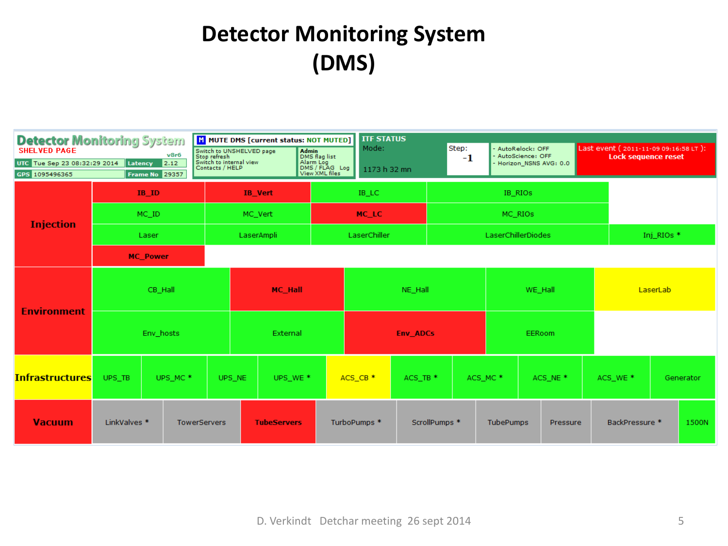# **Detector Monitoring System (DMS)**

| <b>Detector Monitoring System</b><br><b>SHELVED PAGE</b><br>v8r6<br>UTC Tue Sep 23 08:32:29 2014<br>2.12<br>Latency<br>GPS 1095496365<br><b>Frame No 29357</b> |                                     | M MUTE DMS [current status: NOT MUTED]<br>Switch to UNSHELVED page<br>Stop refresh<br>Switch to internal view<br>Contacts / HELP<br>Admin<br>DMS flag list<br>Alarm Log<br>DMS / FLAG Log<br>View XML files |        | <b>ITF STATUS</b><br>Mode:<br>1173 h 32 mn |              | Step:<br>$-1$                   | AutoRelock: OFF<br>- AutoScience: OFF<br>- Horizon_NSNS AVG: 0.0 |                          |                     | Last event (2011-11-09 09:16:58 LT):<br><b>Lock sequence reset</b> |          |  |                     |           |       |
|----------------------------------------------------------------------------------------------------------------------------------------------------------------|-------------------------------------|-------------------------------------------------------------------------------------------------------------------------------------------------------------------------------------------------------------|--------|--------------------------------------------|--------------|---------------------------------|------------------------------------------------------------------|--------------------------|---------------------|--------------------------------------------------------------------|----------|--|---------------------|-----------|-------|
|                                                                                                                                                                | $IB$ <sub>ID</sub>                  |                                                                                                                                                                                                             |        | <b>IB</b> Vert                             |              | IB_LC                           |                                                                  | IB_RIOs                  |                     |                                                                    |          |  |                     |           |       |
| <b>Injection</b>                                                                                                                                               | MC_ID                               |                                                                                                                                                                                                             |        | MC_Vert                                    |              | MC_LC                           |                                                                  | MC_RIOS                  |                     |                                                                    |          |  |                     |           |       |
|                                                                                                                                                                | Laser                               |                                                                                                                                                                                                             |        | LaserAmpli                                 |              | LaserChiller                    |                                                                  |                          |                     | LaserChillerDiodes                                                 |          |  | Inj RIOs *          |           |       |
|                                                                                                                                                                |                                     | <b>MC_Power</b>                                                                                                                                                                                             |        |                                            |              |                                 |                                                                  |                          |                     |                                                                    |          |  |                     |           |       |
| <b>Environment</b>                                                                                                                                             | CB_Hall                             |                                                                                                                                                                                                             |        | <b>MC_Hall</b>                             |              | NE Hall                         |                                                                  |                          | WE_Hall             |                                                                    |          |  | LaserLab            |           |       |
|                                                                                                                                                                | Env hosts                           |                                                                                                                                                                                                             |        | External                                   |              | <b>Env ADCs</b>                 |                                                                  |                          | EERoom              |                                                                    |          |  |                     |           |       |
| <b>Infrastructures</b>                                                                                                                                         | UPS_TB                              | UPS_MC <sup>*</sup>                                                                                                                                                                                         | UPS_NE | UPS_WE <sup>*</sup>                        |              | ACS_CB <sup>*</sup><br>ACS_TB * |                                                                  |                          | ACS_MC <sup>*</sup> |                                                                    | ACS_NE * |  | ACS_WE <sup>*</sup> | Generator |       |
| <b>Vacuum</b>                                                                                                                                                  | LinkValves *<br><b>TowerServers</b> |                                                                                                                                                                                                             |        | <b>TubeServers</b>                         | TurboPumps * |                                 |                                                                  | ScrollPumps <sup>*</sup> |                     | <b>TubePumps</b><br>Pressure                                       |          |  | BackPressure *      |           | 1500N |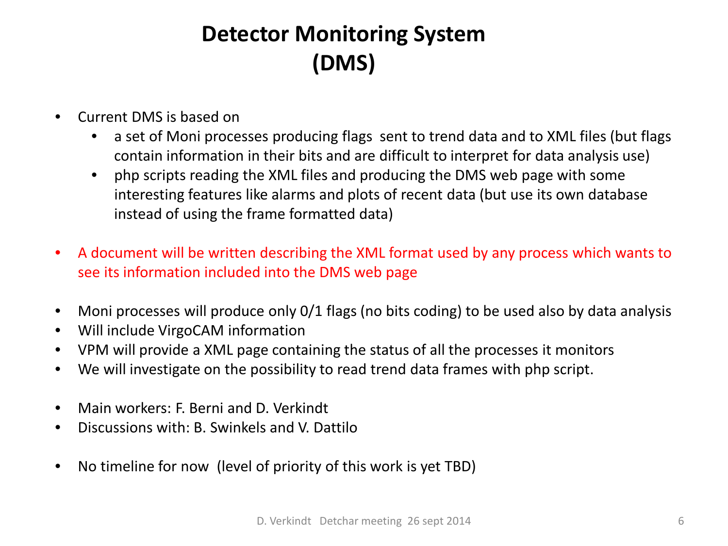# **Detector Monitoring System (DMS)**

- Current DMS is based on
	- a set of Moni processes producing flags sent to trend data and to XML files (but flags contain information in their bits and are difficult to interpret for data analysis use)
	- php scripts reading the XML files and producing the DMS web page with some interesting features like alarms and plots of recent data (but use its own database instead of using the frame formatted data)
- A document will be written describing the XML format used by any process which wants to see its information included into the DMS web page
- Moni processes will produce only 0/1 flags (no bits coding) to be used also by data analysis
- Will include VirgoCAM information
- VPM will provide a XML page containing the status of all the processes it monitors
- We will investigate on the possibility to read trend data frames with php script.
- Main workers: F. Berni and D. Verkindt
- Discussions with: B. Swinkels and V. Dattilo
- No timeline for now (level of priority of this work is yet TBD)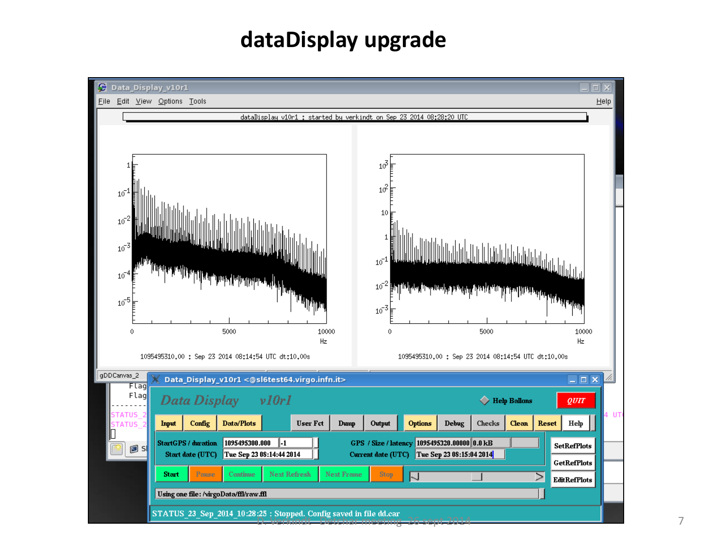#### **dataDisplay upgrade**

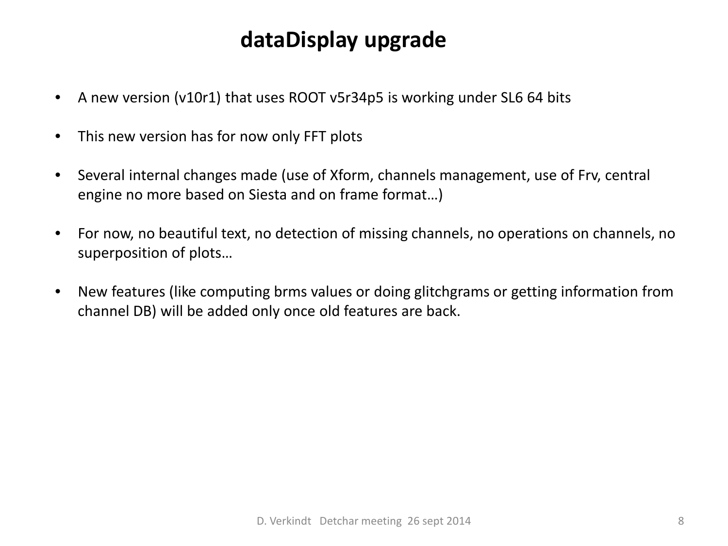### **dataDisplay upgrade**

- A new version (v10r1) that uses ROOT v5r34p5 is working under SL6 64 bits
- This new version has for now only FFT plots
- Several internal changes made (use of Xform, channels management, use of Frv, central engine no more based on Siesta and on frame format…)
- For now, no beautiful text, no detection of missing channels, no operations on channels, no superposition of plots…
- New features (like computing brms values or doing glitchgrams or getting information from channel DB) will be added only once old features are back.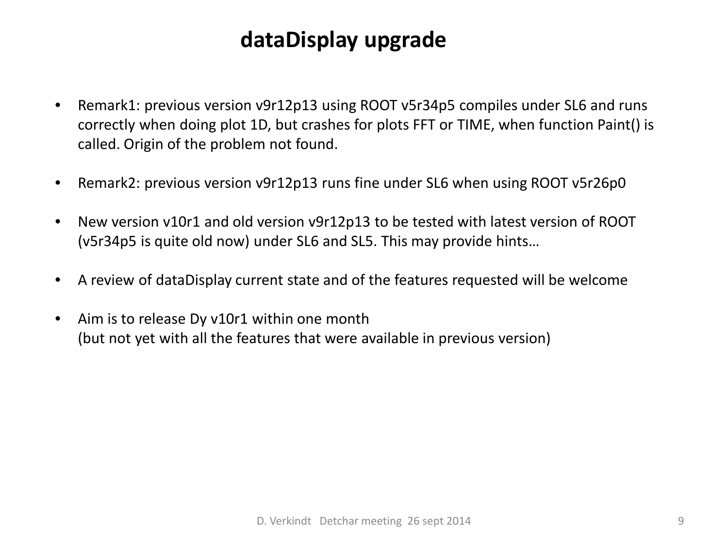#### **dataDisplay upgrade**

- Remark1: previous version v9r12p13 using ROOT v5r34p5 compiles under SL6 and runs correctly when doing plot 1D, but crashes for plots FFT or TIME, when function Paint() is called. Origin of the problem not found.
- Remark2: previous version v9r12p13 runs fine under SL6 when using ROOT v5r26p0
- New version v10r1 and old version v9r12p13 to be tested with latest version of ROOT (v5r34p5 is quite old now) under SL6 and SL5. This may provide hints…
- A review of dataDisplay current state and of the features requested will be welcome
- Aim is to release Dy v10r1 within one month (but not yet with all the features that were available in previous version)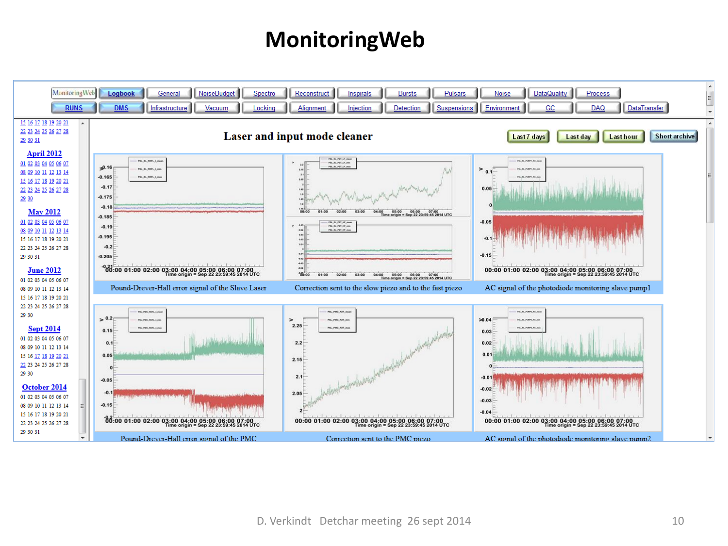#### **MonitoringWeb**

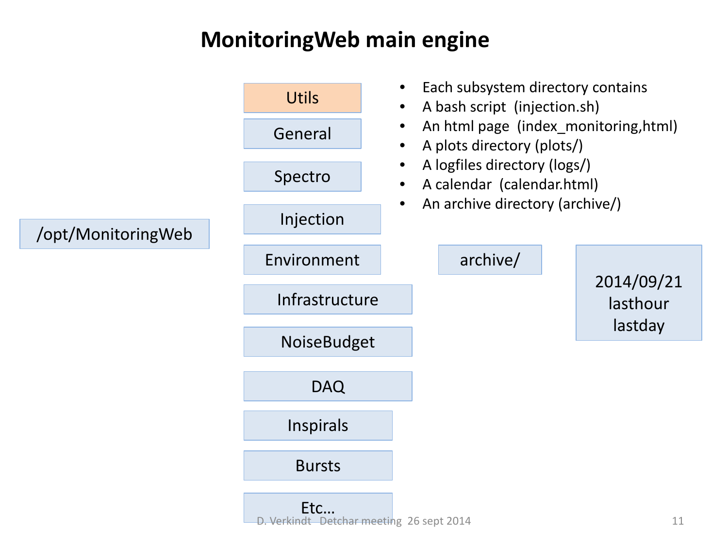### **MonitoringWeb main engine**

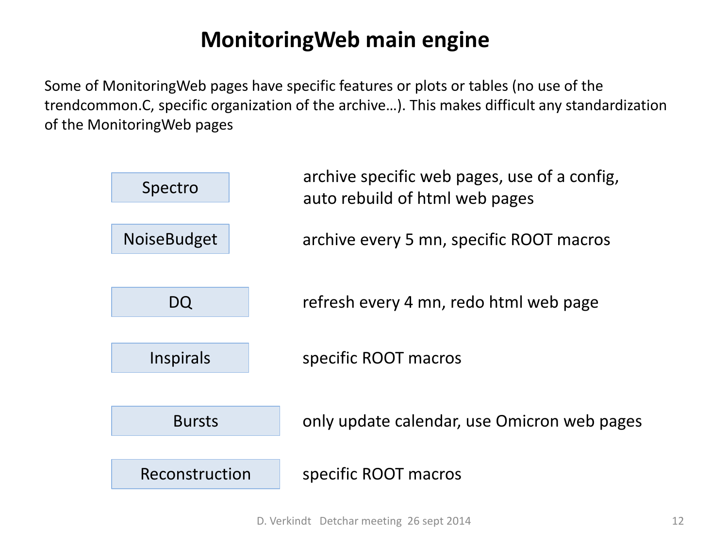#### **MonitoringWeb main engine**

Some of MonitoringWeb pages have specific features or plots or tables (no use of the trendcommon.C, specific organization of the archive…). This makes difficult any standardization of the MonitoringWeb pages

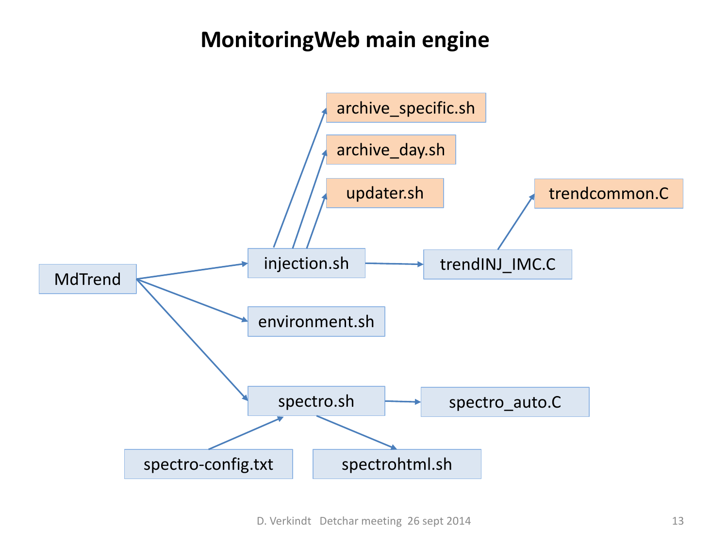#### **MonitoringWeb main engine**

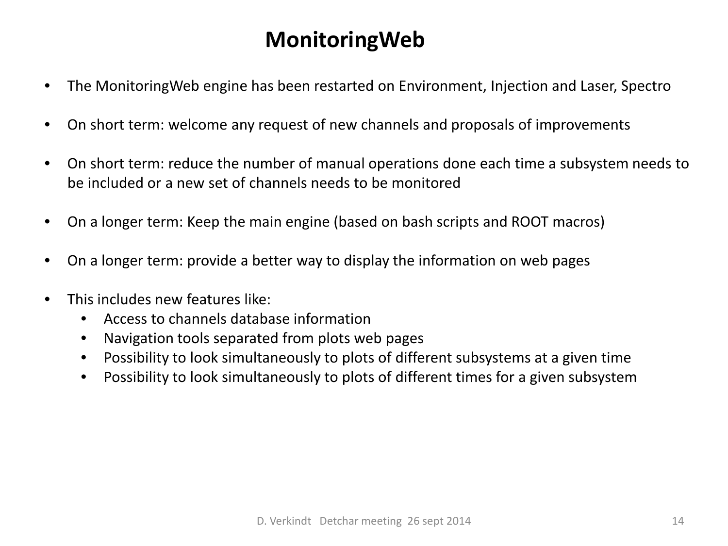### **MonitoringWeb**

- The MonitoringWeb engine has been restarted on Environment, Injection and Laser, Spectro
- On short term: welcome any request of new channels and proposals of improvements
- On short term: reduce the number of manual operations done each time a subsystem needs to be included or a new set of channels needs to be monitored
- On a longer term: Keep the main engine (based on bash scripts and ROOT macros)
- On a longer term: provide a better way to display the information on web pages
- This includes new features like:
	- Access to channels database information
	- Navigation tools separated from plots web pages
	- Possibility to look simultaneously to plots of different subsystems at a given time
	- Possibility to look simultaneously to plots of different times for a given subsystem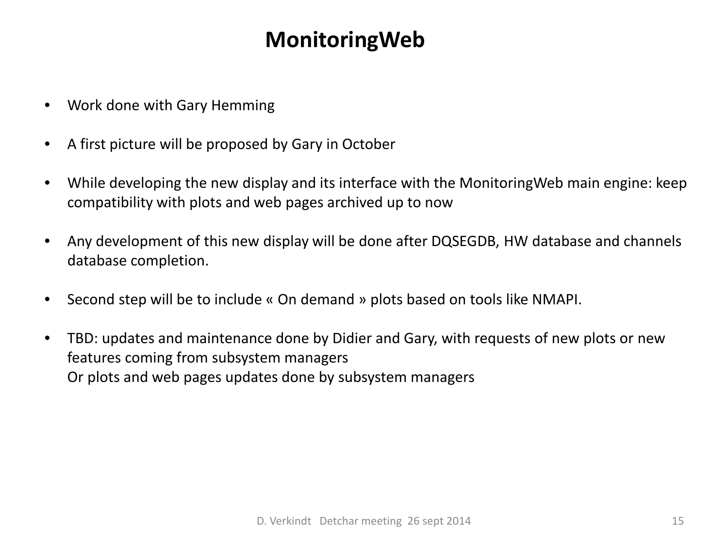#### **MonitoringWeb**

- Work done with Gary Hemming
- A first picture will be proposed by Gary in October
- While developing the new display and its interface with the MonitoringWeb main engine: keep compatibility with plots and web pages archived up to now
- Any development of this new display will be done after DQSEGDB, HW database and channels database completion.
- Second step will be to include « On demand » plots based on tools like NMAPI.
- TBD: updates and maintenance done by Didier and Gary, with requests of new plots or new features coming from subsystem managers Or plots and web pages updates done by subsystem managers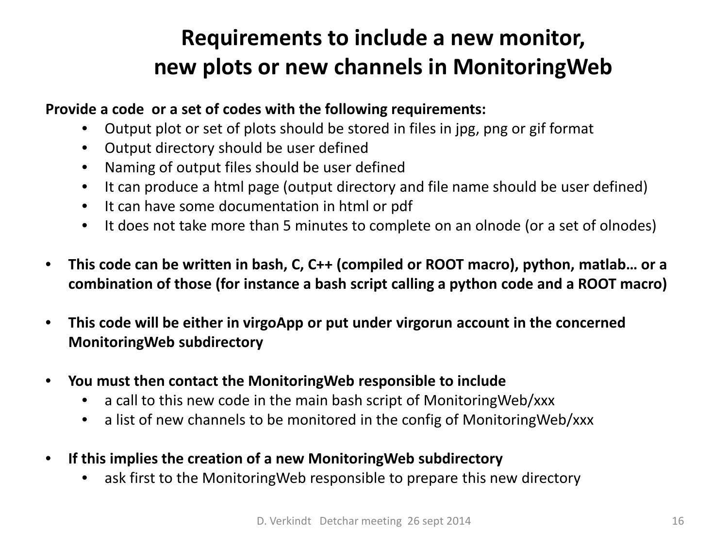# **Requirements to include a new monitor, new plots or new channels in MonitoringWeb**

#### **Provide a code or a set of codes with the following requirements:**

- Output plot or set of plots should be stored in files in jpg, png or gif format
- Output directory should be user defined
- Naming of output files should be user defined
- It can produce a html page (output directory and file name should be user defined)
- It can have some documentation in html or pdf
- It does not take more than 5 minutes to complete on an olnode (or a set of olnodes)
- **This code can be written in bash, C, C++ (compiled or ROOT macro), python, matlab… or a combination of those (for instance a bash script calling a python code and a ROOT macro)**
- **This code will be either in virgoApp or put under virgorun account in the concerned MonitoringWeb subdirectory**
- **You must then contact the MonitoringWeb responsible to include**
	- a call to this new code in the main bash script of MonitoringWeb/xxx
	- a list of new channels to be monitored in the config of MonitoringWeb/xxx
- **If this implies the creation of a new MonitoringWeb subdirectory**
	- ask first to the Monitoring Web responsible to prepare this new directory